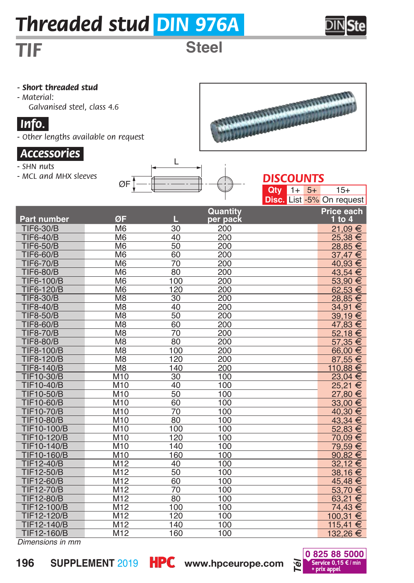# *Threaded stud DIN 976A*

## *TIF* **Steel**

*- Short threaded stud*

*- Material: Galvanised steel, class 4.6*

#### *iInfo.i*

*- Other lengths available on request*

#### *iAccessoriesi*

- *SHN nuts*
- *MCL and MHX sleeves*





ARTICON AND LONGON CONTRACTOR

 $\overline{5+}$  15+

|                    |                          |                 |          | <b>Disc.</b> List -5% On request |             |
|--------------------|--------------------------|-----------------|----------|----------------------------------|-------------|
|                    |                          |                 | Quantity |                                  | Price each  |
| <b>Part number</b> | ØF                       | П.,             | per pack |                                  | $1$ to $4$  |
| <b>TIF6-30/B</b>   | M <sub>6</sub>           | 30              | 200      |                                  | 21.09€      |
| <b>TIF6-40/B</b>   | M <sub>6</sub>           | 40              | 200      |                                  | 25.38 €     |
| <b>TIF6-50/B</b>   | M <sub>6</sub>           | 50              | 200      |                                  | $28,85 \in$ |
| <b>TIF6-60/B</b>   | M <sub>6</sub>           | 60              | 200      |                                  | 37.47 €     |
| <b>TIF6-70/B</b>   | M <sub>6</sub>           | 70              | 200      |                                  | 40.93 €     |
| <b>TIF6-80/B</b>   | M <sub>6</sub>           | 80              | 200      |                                  | 43,54 €     |
| TIF6-100/B         | M <sub>6</sub>           | 100             | 200      |                                  | 53,90 €     |
| TIF6-120/B         | M <sub>6</sub>           | 120             | 200      |                                  | 62,53€      |
| <b>TIF8-30/B</b>   | M8                       | $\overline{30}$ | 200      |                                  | 28,85 €     |
| <b>TIF8-40/B</b>   | M <sub>8</sub>           | 40              | 200      |                                  | 34,91 €     |
| <b>TIF8-50/B</b>   | $\overline{\mathsf{M}8}$ | 50              | 200      |                                  | 39,19€      |
| <b>TIF8-60/B</b>   | $\overline{\mathsf{M}8}$ | 60              | 200      |                                  | 47,83 €     |
| <b>TIF8-70/B</b>   | M <sub>8</sub>           | 70              | 200      |                                  | 52,18€      |
| <b>TIF8-80/B</b>   | M <sub>8</sub>           | 80              | 200      |                                  | 57,35 €     |
| <b>TIF8-100/B</b>  | M <sub>8</sub>           | 100             | 200      |                                  | 66,00 €     |
| <b>TIF8-120/B</b>  | M <sub>8</sub>           | 120             | 200      |                                  | 87,55 €     |
| TIF8-140/B         | M <sub>8</sub>           | 140             | 200      |                                  | 110,88 €    |
| <b>TIF10-30/B</b>  | <b>M10</b>               | 30              | 100      |                                  | 23.04 €     |
| <b>TIF10-40/B</b>  | M10                      | 40              | 100      |                                  | 25,21€      |
| <b>TIF10-50/B</b>  | M10                      | 50              | 100      |                                  | 27,80 €     |
| <b>TIF10-60/B</b>  | M10                      | 60              | 100      |                                  | 33,00 €     |
| <b>TIF10-70/B</b>  | <b>M10</b>               | 70              | 100      |                                  | 40,30 €     |
| <b>TIF10-80/B</b>  | M10                      | 80              | 100      |                                  | 43,34 €     |
| TIF10-100/B        | M <sub>10</sub>          | 100             | 100      |                                  | 52,83 €     |
| <b>TIF10-120/B</b> | <b>M10</b>               | 120             | 100      |                                  | 70.09 €     |
| TIF10-140/B        | M10                      | 140             | 100      |                                  | 79.59 €     |
| TIF10-160/B        | M10                      | 160             | 100      |                                  | 90,82 €     |
| TIF12-40/B         | M12                      | 40              | 100      |                                  | 32,12 €     |
| <b>TIF12-50/B</b>  | M12                      | 50              | 100      |                                  | 38,16€      |
| TIF12-60/B         | M12                      | 60              | 100      |                                  | 45,48 €     |
| <b>TIF12-70/B</b>  | M12                      | 70              | 100      |                                  | 53,70€      |
| <b>TIF12-80/B</b>  | M12                      | 80              | 100      |                                  | 63,21 €     |
| <b>TIF12-100/B</b> | M12                      | 100             | 100      |                                  | 74,43 €     |
| <b>TIF12-120/B</b> | M12                      | 120             | 100      |                                  | 100,31 €    |
| <b>TIF12-140/B</b> | M12                      | 140             | 100      |                                  | 115,41 €    |
| TIF12-160/B        | M12                      | 160             | 100      |                                  | 132,26 €    |

*Dimensions in mm*